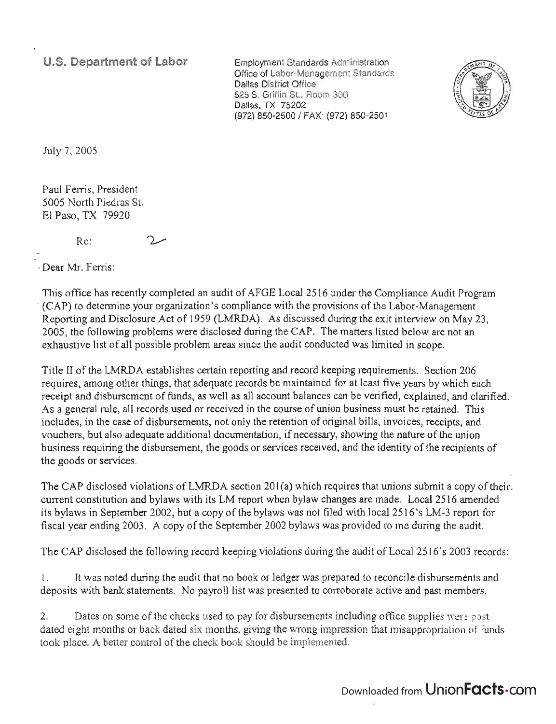**U.S.** Department of **Labor** 

Employment Standards Administration Office of Labor-Management Standards Dallas District Office 525 S. Griffin St., Room 300 Dallas, TX 75202 (972) 850-2500 / FAX: (972) 850-2501



July 7,2005

Paul Ferris, President 5005 North Piedras St. El Paso, TX 79920

> $\mathcal{D}_{\mathbf{A}}$ Re:

- Dear Mr. Ferris:

This office has recently completed an audit of AFOE Local 2516 under the Compliance Audit Program -(CAP) to determine your organization's compliance with the provisions of the Labor-Management Reporting and Disclosure Act of 1959 (LMRDA). As discussed during the exit interview on May 23, 2005, the following problems were disclosed during the CAP. The matters listed below are not an exhaustive list of all possible problem areas since the audit conducted was limited in scope.

Title II of the LMRDA establishes certain reporting and record keeping requirements. Section 206 requires, among other things, that adequate records be maintained for at least five years by which each receipt and disbursement of funds, as well as all account balances can be verified, explained, and clarified. As a general rule, all records used or received in the course of union business must be retained. This includes, in the case of disbursements, not only the retention of original bills, invoices, receipts, and vouchers, but also adequate additional documentation, if necessary, showing the nature of the union business requiring the disbursement, the goods or services received, and the identity of the recipients of the goods or services.

The CAP disclosed violations of LMRDA section  $201(a)$  which requires that unions submit a copy of their. current constitution and bylaws with its LM report when bylaw changes are made. Local 2516 amended its bylaws in September 2002, but a copy of the bylaws was not filed with local 2516's LM-3 report for fiscal year ending 2003. A copy of the September 2002 bylaws was provided to me during the audit.

The CAP disclosed the following record keeping violations during the audit of Local 2516's 2003 records:

I. It was noted during the audit that no book or ledger was prepared to reconcile disbursements and deposits with bank statements. No payroll list was presented to corroborate active and past members.

2. Dates on some of the checks used to pay for disbursements including office supplies were post dated eight months or back dated six months, giving the wrong impression that misappropriation of funds took place. A better control of the check book should be implemented.

## Downloaded from UnionFacts.com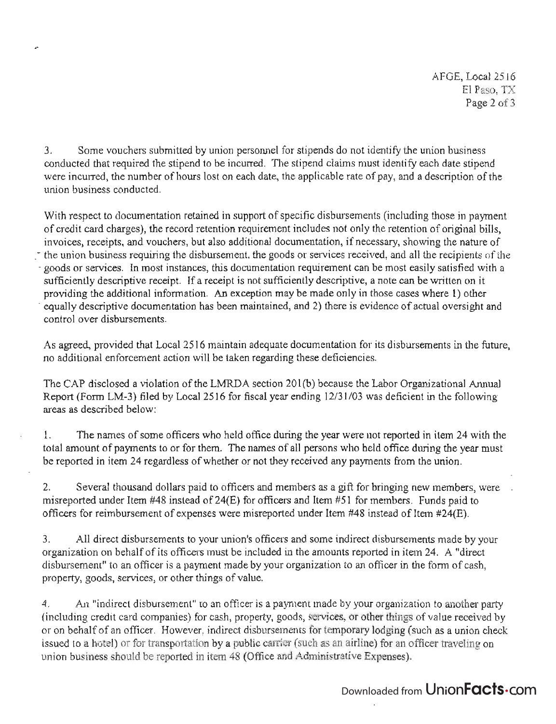3. Some vouchers submitted by union personnel for stipends do not identify the union business conducted that required the stipend to be incurred. The stipend claims must identify each date stipend were incurred, the number of hours lost on each date, the applicable rate of pay, and a description of the union business conducted.

With respect to documentation retained in support of specific disbursements (including those in payment of credit card charges), the record retention requirement includes not only the retention of original bills, invoices, receipts, and vouchers, but also additional documentation, if necessary, showing the nature of the union business requiring the disbursement, the goods or services received, and all the recipients of the - goods or services. In most instances, this documentation requirement can be most easily satisfied with a sufficiently descriptive receipt. If a receipt is not sufficiently descriptive, a note can be written on it providing the additional information. An exception may be made only in those cases where 1) other - equally descriptive documentation has been maintained, and 2) there is evidence of actual oversight and control over disbursements.

As agreed, provided that Local 2516 maintain adequate documentation for its disbursements in the future, no additional enforcement action will be taken regarding these deficiencies.

The CAP disclosed a violation of the LMRDA section 201(b) because the Labor Organizational Annual Report (Form LM-3) filed by Local 2516 for fiscal year ending 12/31/03 was deficient in the following areas as described below:

1. The names of some officers who held office during the year were not reported in item 24 with the \_ total amount of payments to or for them. The names of all persons who held office during the year must be reported in item 24 regardless of whether or not they received any payments from the union.

2. Several thousand dollars paid to officers and members as a gift for bringing new members, were misreported under Item #48 instead of 24(E) for officers and Item #51 for members. Funds paid to officers for reimbursement of expenses were misreported under Item #48 instead of Item #24(E).

3. All direct disbursements to your union's officers and some indirect disbursements made by your organization on behalf of its officers must be included in the amounts reported in item 24. A "direct disbursement" to an officer is a payment made by your organization to an officer in the form of cash, property, goods, services, or other things of value.

4. An "indirect disbursement" to an officer is a payment made by your organization to another party (including credit card companies) for cash, property, goods, services, or other things of value received by or on behalf of an officer. However, indirect disbursements for temporary lodging (such as a union check issued to a hotel) or for transportation by a public carrier (such as an airline) for an officer traveling on union business should be reported in item 48 (Office and Administrative Expenses).

## Downloaded from UnionFacts.com